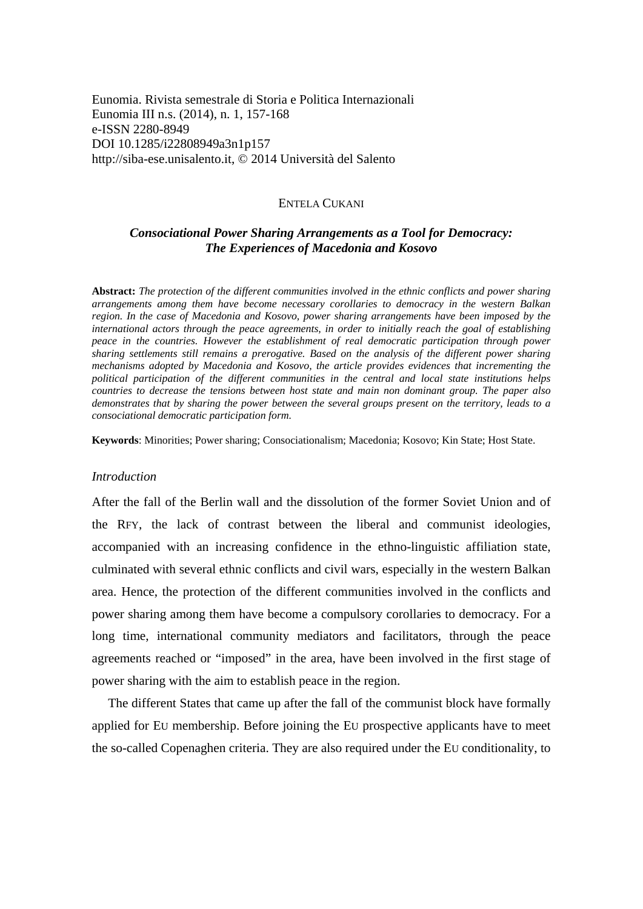Eunomia. Rivista semestrale di Storia e Politica Internazionali Eunomia III n.s. (2014), n. 1, 157-168 e-ISSN 2280-8949 DOI 10.1285/i22808949a3n1p157 http://siba-ese.unisalento.it, © 2014 Università del Salento

#### ENTELA CUKANI

# *Consociational Power Sharing Arrangements as a Tool for Democracy: The Experiences of Macedonia and Kosovo*

**Abstract:** *The protection of the different communities involved in the ethnic conflicts and power sharing arrangements among them have become necessary corollaries to democracy in the western Balkan region. In the case of Macedonia and Kosovo, power sharing arrangements have been imposed by the international actors through the peace agreements, in order to initially reach the goal of establishing peace in the countries. However the establishment of real democratic participation through power sharing settlements still remains a prerogative. Based on the analysis of the different power sharing mechanisms adopted by Macedonia and Kosovo, the article provides evidences that incrementing the political participation of the different communities in the central and local state institutions helps countries to decrease the tensions between host state and main non dominant group. The paper also demonstrates that by sharing the power between the several groups present on the territory, leads to a consociational democratic participation form.* 

**Keywords**: Minorities; Power sharing; Consociationalism; Macedonia; Kosovo; Kin State; Host State.

#### *Introduction*

After the fall of the Berlin wall and the dissolution of the former Soviet Union and of the RFY, the lack of contrast between the liberal and communist ideologies, accompanied with an increasing confidence in the ethno-linguistic affiliation state, culminated with several ethnic conflicts and civil wars, especially in the western Balkan area. Hence, the protection of the different communities involved in the conflicts and power sharing among them have become a compulsory corollaries to democracy. For a long time, international community mediators and facilitators, through the peace agreements reached or "imposed" in the area, have been involved in the first stage of power sharing with the aim to establish peace in the region.

 The different States that came up after the fall of the communist block have formally applied for EU membership. Before joining the EU prospective applicants have to meet the so-called Copenaghen criteria. They are also required under the EU conditionality, to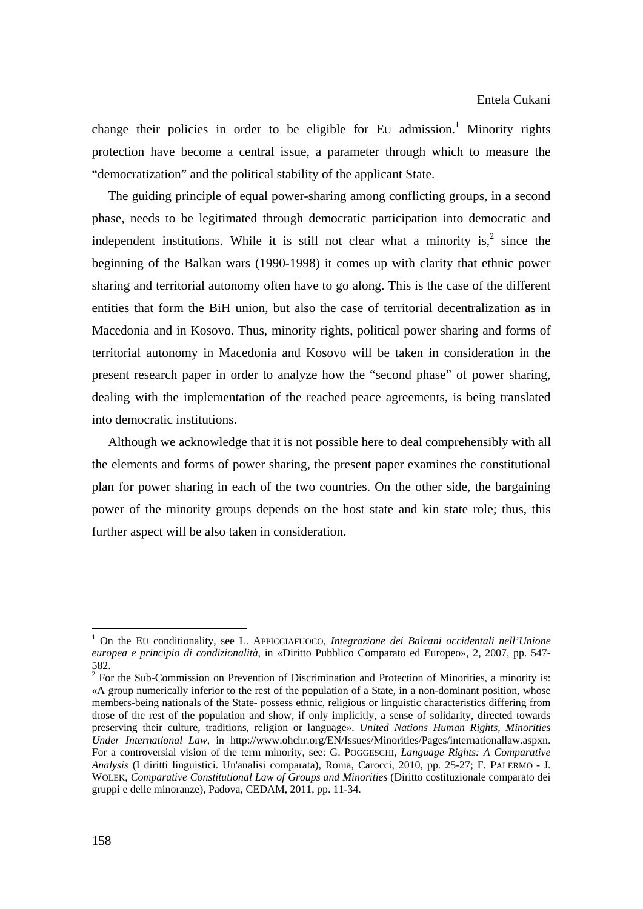change their policies in order to be eligible for EU admission.<sup>1</sup> Minority rights protection have become a central issue, a parameter through which to measure the "democratization" and the political stability of the applicant State.

 The guiding principle of equal power-sharing among conflicting groups, in a second phase, needs to be legitimated through democratic participation into democratic and independent institutions. While it is still not clear what a minority is,  $2 \text{ since the}$ beginning of the Balkan wars (1990-1998) it comes up with clarity that ethnic power sharing and territorial autonomy often have to go along. This is the case of the different entities that form the BiH union, but also the case of territorial decentralization as in Macedonia and in Kosovo. Thus, minority rights, political power sharing and forms of territorial autonomy in Macedonia and Kosovo will be taken in consideration in the present research paper in order to analyze how the "second phase" of power sharing, dealing with the implementation of the reached peace agreements, is being translated into democratic institutions.

 Although we acknowledge that it is not possible here to deal comprehensibly with all the elements and forms of power sharing, the present paper examines the constitutional plan for power sharing in each of the two countries. On the other side, the bargaining power of the minority groups depends on the host state and kin state role; thus, this further aspect will be also taken in consideration.

<sup>1</sup> On the EU conditionality, see L. APPICCIAFUOCO, *Integrazione dei Balcani occidentali nell'Unione europea e principio di condizionalità*, in «Diritto Pubblico Comparato ed Europeo», 2, 2007, pp. 547- 582.

 $2^2$  For the Sub-Commission on Prevention of Discrimination and Protection of Minorities, a minority is: «A group numerically inferior to the rest of the population of a State, in a non-dominant position, whose members-being nationals of the State- possess ethnic, religious or linguistic characteristics differing from those of the rest of the population and show, if only implicitly, a sense of solidarity, directed towards preserving their culture, traditions, religion or language». *United Nations Human Rights, Minorities Under International Law*, in http://www.ohchr.org/EN/Issues/Minorities/Pages/internationallaw.aspxn. For a controversial vision of the term minority, see: G. POGGESCHI, *Language Rights: A Comparative Analysis* (I diritti linguistici. Un'analisi comparata), Roma, Carocci, 2010, pp. 25-27; F. PALERMO - J. WOLEK, *Comparative Constitutional Law of Groups and Minorities* (Diritto costituzionale comparato dei gruppi e delle minoranze), Padova, CEDAM, 2011, pp. 11-34.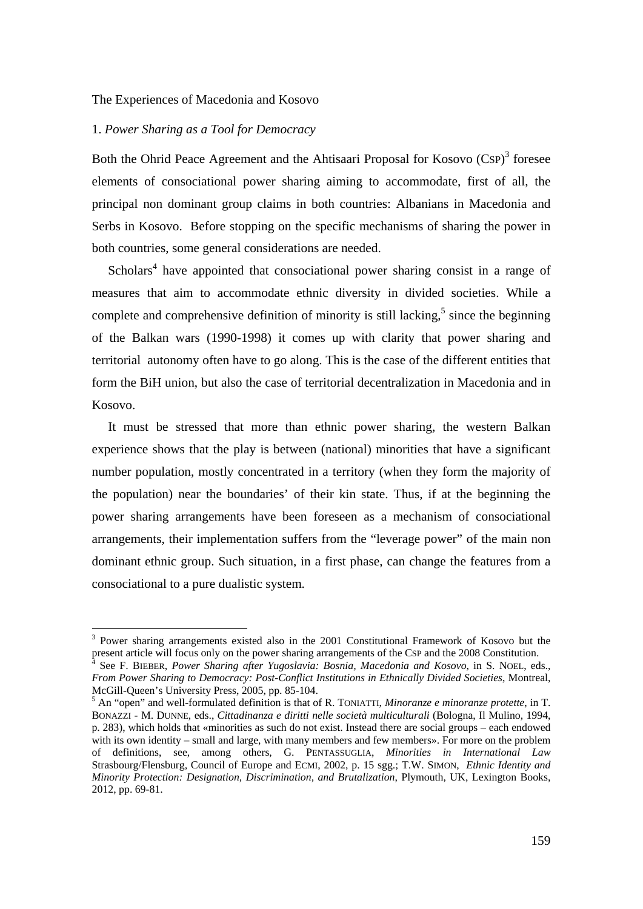## 1. *Power Sharing as a Tool for Democracy*

**.** 

Both the Ohrid Peace Agreement and the Ahtisaari Proposal for Kosovo (CSP)<sup>3</sup> foresee elements of consociational power sharing aiming to accommodate, first of all, the principal non dominant group claims in both countries: Albanians in Macedonia and Serbs in Kosovo. Before stopping on the specific mechanisms of sharing the power in both countries, some general considerations are needed.

Scholars<sup>4</sup> have appointed that consociational power sharing consist in a range of measures that aim to accommodate ethnic diversity in divided societies. While a complete and comprehensive definition of minority is still lacking, $5$  since the beginning of the Balkan wars (1990-1998) it comes up with clarity that power sharing and territorial autonomy often have to go along. This is the case of the different entities that form the BiH union, but also the case of territorial decentralization in Macedonia and in Kosovo.

 It must be stressed that more than ethnic power sharing, the western Balkan experience shows that the play is between (national) minorities that have a significant number population, mostly concentrated in a territory (when they form the majority of the population) near the boundaries' of their kin state. Thus, if at the beginning the power sharing arrangements have been foreseen as a mechanism of consociational arrangements, their implementation suffers from the "leverage power" of the main non dominant ethnic group. Such situation, in a first phase, can change the features from a consociational to a pure dualistic system.

<sup>&</sup>lt;sup>3</sup> Power sharing arrangements existed also in the 2001 Constitutional Framework of Kosovo but the present article will focus only on the power sharing arrangements of the CSP and the 2008 Constitution. 4

See F. BIEBER, *Power Sharing after Yugoslavia: Bosnia, Macedonia and Kosovo*, in S. NOEL, eds., *From Power Sharing to Democracy: Post-Conflict Institutions in Ethnically Divided Societies*, Montreal, McGill-Queen's University Press, 2005, pp. 85-104.

An "open" and well-formulated definition is that of R. TONIATTI, *Minoranze e minoranze protette*, in T. BONAZZI - M. DUNNE, eds., *Cittadinanza e diritti nelle società multiculturali* (Bologna, Il Mulino, 1994, p. 283), which holds that «minorities as such do not exist. Instead there are social groups – each endowed with its own identity – small and large, with many members and few members». For more on the problem of definitions, see, among others, G. PENTASSUGLIA, *Minorities in International Law* Strasbourg/Flensburg, Council of Europe and ECMI, 2002, p. 15 sgg.; T.W. SIMON, *Ethnic Identity and Minority Protection: Designation, Discrimination, and Brutalization*, Plymouth, UK, Lexington Books, 2012, pp. 69-81.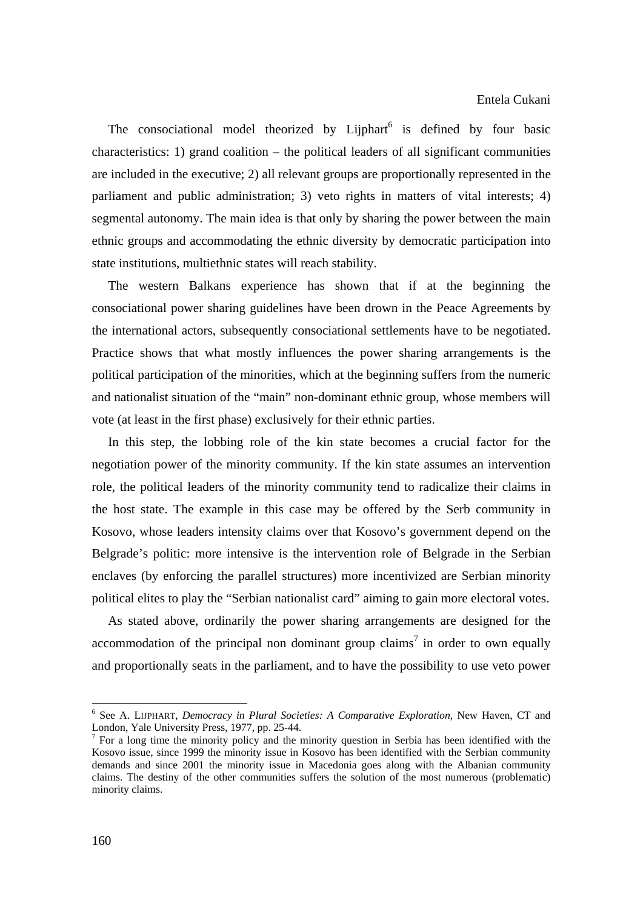The consociational model theorized by Lijphart $<sup>6</sup>$  is defined by four basic</sup> characteristics: 1) grand coalition – the political leaders of all significant communities are included in the executive; 2) all relevant groups are proportionally represented in the parliament and public administration; 3) veto rights in matters of vital interests; 4) segmental autonomy. The main idea is that only by sharing the power between the main ethnic groups and accommodating the ethnic diversity by democratic participation into state institutions, multiethnic states will reach stability.

 The western Balkans experience has shown that if at the beginning the consociational power sharing guidelines have been drown in the Peace Agreements by the international actors, subsequently consociational settlements have to be negotiated. Practice shows that what mostly influences the power sharing arrangements is the political participation of the minorities, which at the beginning suffers from the numeric and nationalist situation of the "main" non-dominant ethnic group, whose members will vote (at least in the first phase) exclusively for their ethnic parties.

 In this step, the lobbing role of the kin state becomes a crucial factor for the negotiation power of the minority community. If the kin state assumes an intervention role, the political leaders of the minority community tend to radicalize their claims in the host state. The example in this case may be offered by the Serb community in Kosovo, whose leaders intensity claims over that Kosovo's government depend on the Belgrade's politic: more intensive is the intervention role of Belgrade in the Serbian enclaves (by enforcing the parallel structures) more incentivized are Serbian minority political elites to play the "Serbian nationalist card" aiming to gain more electoral votes.

 As stated above, ordinarily the power sharing arrangements are designed for the accommodation of the principal non dominant group claims<sup>7</sup> in order to own equally and proportionally seats in the parliament, and to have the possibility to use veto power

<sup>6</sup> See A. LIJPHART, *Democracy in Plural Societies: A Comparative Exploration*, New Haven, CT and London, Yale University Press, 1977, pp. 25-44.

<sup>&</sup>lt;sup>7</sup> For a long time the minority policy and the minority question in Serbia has been identified with the Kosovo issue, since 1999 the minority issue in Kosovo has been identified with the Serbian community demands and since 2001 the minority issue in Macedonia goes along with the Albanian community claims. The destiny of the other communities suffers the solution of the most numerous (problematic) minority claims.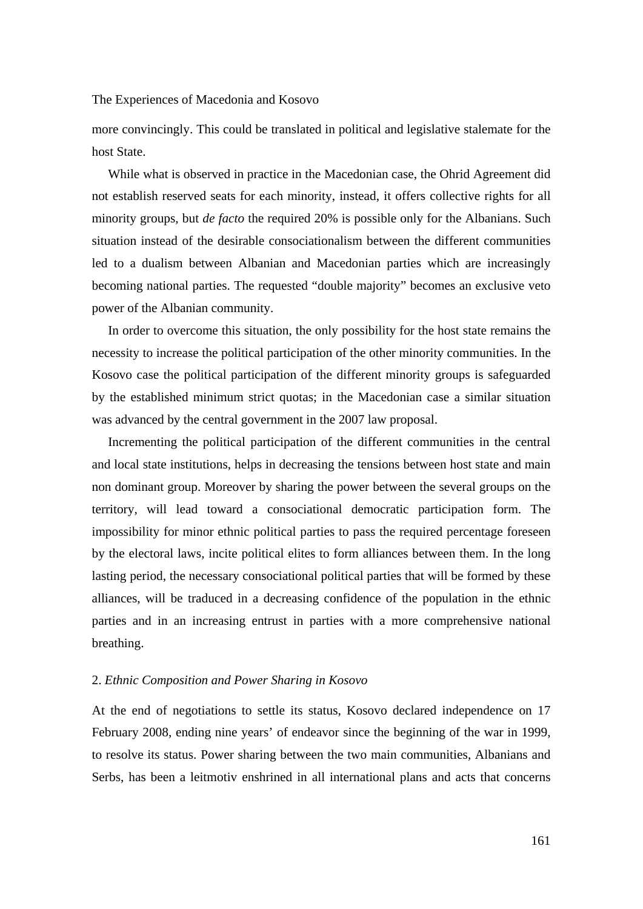more convincingly. This could be translated in political and legislative stalemate for the host State.

 While what is observed in practice in the Macedonian case, the Ohrid Agreement did not establish reserved seats for each minority, instead, it offers collective rights for all minority groups, but *de facto* the required 20% is possible only for the Albanians. Such situation instead of the desirable consociationalism between the different communities led to a dualism between Albanian and Macedonian parties which are increasingly becoming national parties. The requested "double majority" becomes an exclusive veto power of the Albanian community.

 In order to overcome this situation, the only possibility for the host state remains the necessity to increase the political participation of the other minority communities. In the Kosovo case the political participation of the different minority groups is safeguarded by the established minimum strict quotas; in the Macedonian case a similar situation was advanced by the central government in the 2007 law proposal.

 Incrementing the political participation of the different communities in the central and local state institutions, helps in decreasing the tensions between host state and main non dominant group. Moreover by sharing the power between the several groups on the territory, will lead toward a consociational democratic participation form. The impossibility for minor ethnic political parties to pass the required percentage foreseen by the electoral laws, incite political elites to form alliances between them. In the long lasting period, the necessary consociational political parties that will be formed by these alliances, will be traduced in a decreasing confidence of the population in the ethnic parties and in an increasing entrust in parties with a more comprehensive national breathing.

## 2. *Ethnic Composition and Power Sharing in Kosovo*

At the end of negotiations to settle its status, Kosovo declared independence on 17 February 2008, ending nine years' of endeavor since the beginning of the war in 1999, to resolve its status. Power sharing between the two main communities, Albanians and Serbs, has been a leitmotiv enshrined in all international plans and acts that concerns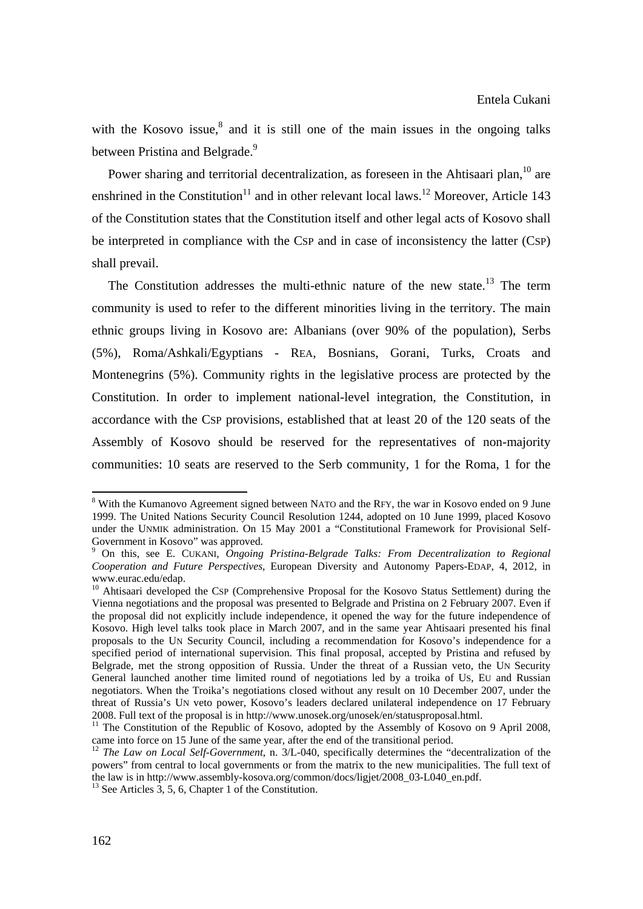with the Kosovo issue, $8$  and it is still one of the main issues in the ongoing talks between Pristina and Belgrade.<sup>9</sup>

Power sharing and territorial decentralization, as foreseen in the Ahtisaari plan, $^{10}$  are enshrined in the Constitution<sup>11</sup> and in other relevant local laws.<sup>12</sup> Moreover, Article 143 of the Constitution states that the Constitution itself and other legal acts of Kosovo shall be interpreted in compliance with the CSP and in case of inconsistency the latter (CSP) shall prevail.

The Constitution addresses the multi-ethnic nature of the new state.<sup>13</sup> The term community is used to refer to the different minorities living in the territory. The main ethnic groups living in Kosovo are: Albanians (over 90% of the population), Serbs (5%), Roma/Ashkali/Egyptians - REA, Bosnians, Gorani, Turks, Croats and Montenegrins (5%). Community rights in the legislative process are protected by the Constitution. In order to implement national-level integration, the Constitution, in accordance with the CSP provisions, established that at least 20 of the 120 seats of the Assembly of Kosovo should be reserved for the representatives of non-majority communities: 10 seats are reserved to the Serb community, 1 for the Roma, 1 for the

<sup>&</sup>lt;sup>8</sup> With the Kumanovo Agreement signed between NATO and the RFY, the war in Kosovo ended on 9 June 1999. The United Nations Security Council Resolution 1244, adopted on 10 June 1999, placed Kosovo under the UNMIK administration. On 15 May 2001 a "Constitutional Framework for Provisional Self-Government in Kosovo" was approved.

<sup>9</sup> On this, see E. CUKANI, *Ongoing Pristina-Belgrade Talks: From Decentralization to Regional Cooperation and Future Perspectives*, European Diversity and Autonomy Papers-EDAP, 4, 2012, in www.eurac.edu/edap.

<sup>&</sup>lt;sup>10</sup> Ahtisaari developed the CSP (Comprehensive Proposal for the Kosovo Status Settlement) during the Vienna negotiations and the proposal was presented to Belgrade and Pristina on 2 February 2007. Even if the proposal did not explicitly include independence, it opened the way for the future independence of Kosovo. High level talks took place in March 2007, and in the same year Ahtisaari presented his final proposals to the UN Security Council, including a recommendation for Kosovo's independence for a specified period of international supervision. This final proposal, accepted by Pristina and refused by Belgrade, met the strong opposition of Russia. Under the threat of a Russian veto, the UN Security General launched another time limited round of negotiations led by a troika of US, EU and Russian negotiators. When the Troika's negotiations closed without any result on 10 December 2007, under the threat of Russia's UN veto power, Kosovo's leaders declared unilateral independence on 17 February 2008. Full text of the proposal is in http://www.unosek.org/unosek/en/statusproposal.html.

<sup>&</sup>lt;sup>11</sup> The Constitution of the Republic of Kosovo, adopted by the Assembly of Kosovo on 9 April 2008, came into force on 15 June of the same year, after the end of the transitional period.

<sup>&</sup>lt;sup>12</sup> *The Law on Local Self-Government*, n. 3/L-040, specifically determines the "decentralization of the powers" from central to local governments or from the matrix to the new municipalities. The full text of the law is in http://www.assembly-kosova.org/common/docs/ligjet/2008\_03-L040\_en.pdf. <sup>13</sup> See Articles 3, 5, 6, Chapter 1 of the Constitution.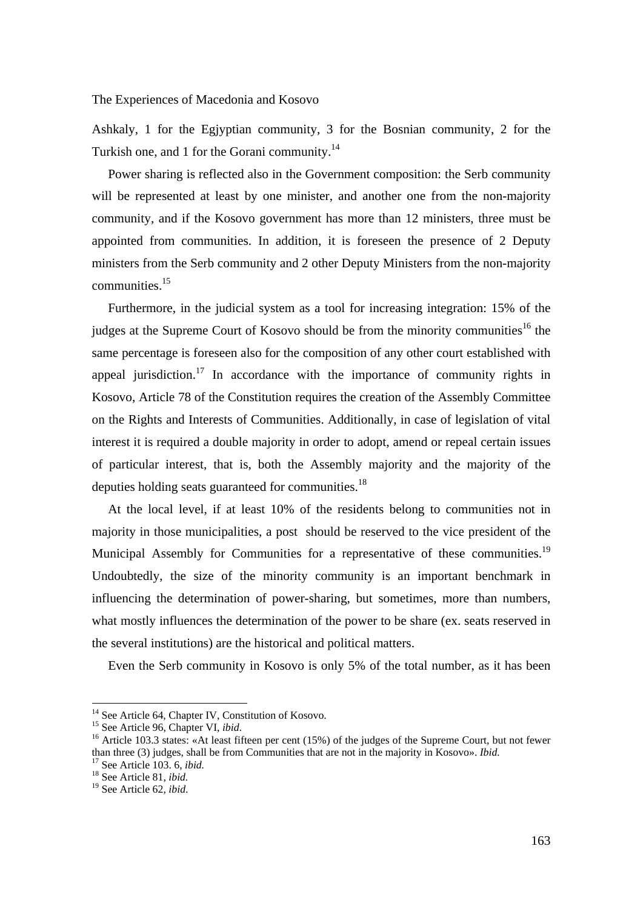Ashkaly, 1 for the Egjyptian community, 3 for the Bosnian community, 2 for the Turkish one, and 1 for the Gorani community.<sup>14</sup>

 Power sharing is reflected also in the Government composition: the Serb community will be represented at least by one minister, and another one from the non-majority community, and if the Kosovo government has more than 12 ministers, three must be appointed from communities. In addition, it is foreseen the presence of 2 Deputy ministers from the Serb community and 2 other Deputy Ministers from the non-majority communities.15

 Furthermore, in the judicial system as a tool for increasing integration: 15% of the judges at the Supreme Court of Kosovo should be from the minority communities<sup>16</sup> the same percentage is foreseen also for the composition of any other court established with appeal jurisdiction.<sup>17</sup> In accordance with the importance of community rights in Kosovo, Article 78 of the Constitution requires the creation of the Assembly Committee on the Rights and Interests of Communities. Additionally, in case of legislation of vital interest it is required a double majority in order to adopt, amend or repeal certain issues of particular interest, that is, both the Assembly majority and the majority of the deputies holding seats guaranteed for communities.<sup>18</sup>

 At the local level, if at least 10% of the residents belong to communities not in majority in those municipalities, a post should be reserved to the vice president of the Municipal Assembly for Communities for a representative of these communities.<sup>19</sup> Undoubtedly, the size of the minority community is an important benchmark in influencing the determination of power-sharing, but sometimes, more than numbers, what mostly influences the determination of the power to be share (ex. seats reserved in the several institutions) are the historical and political matters.

Even the Serb community in Kosovo is only 5% of the total number, as it has been

<sup>&</sup>lt;sup>14</sup> See Article 64, Chapter IV, Constitution of Kosovo.

<sup>15</sup> See Article 96, Chapter VI, *ibid*.<br><sup>15</sup> See Article 103.3 states: «At least fifteen per cent (15%) of the judges of the Supreme Court, but not fewer than three (3) judges, shall be from Communities that are not in the majority in Kosovo». *Ibid.* <sup>17</sup> See Article 103. 6, *ibid.* <sup>18</sup> See Article 81, *ibid.* 

<sup>19</sup> See Article 62, *ibid*.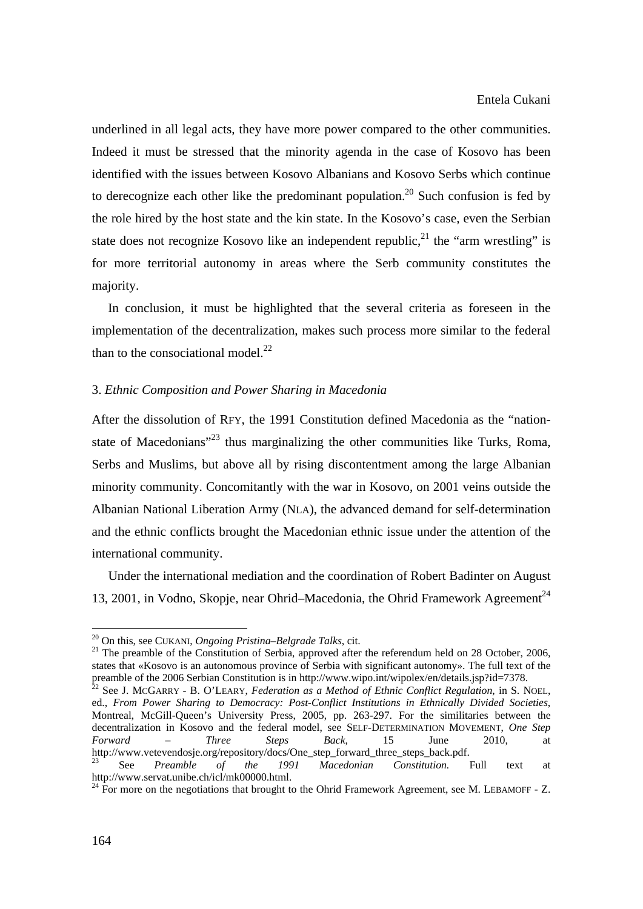underlined in all legal acts, they have more power compared to the other communities. Indeed it must be stressed that the minority agenda in the case of Kosovo has been identified with the issues between Kosovo Albanians and Kosovo Serbs which continue to derecognize each other like the predominant population.<sup>20</sup> Such confusion is fed by the role hired by the host state and the kin state. In the Kosovo's case, even the Serbian state does not recognize Kosovo like an independent republic, $^{21}$  the "arm wrestling" is for more territorial autonomy in areas where the Serb community constitutes the majority.

 In conclusion, it must be highlighted that the several criteria as foreseen in the implementation of the decentralization, makes such process more similar to the federal than to the consociational model. $^{22}$ 

### 3. *Ethnic Composition and Power Sharing in Macedonia*

After the dissolution of RFY, the 1991 Constitution defined Macedonia as the "nationstate of Macedonians<sup> $23$ </sup> thus marginalizing the other communities like Turks, Roma, Serbs and Muslims, but above all by rising discontentment among the large Albanian minority community. Concomitantly with the war in Kosovo, on 2001 veins outside the Albanian National Liberation Army (NLA), the advanced demand for self-determination and the ethnic conflicts brought the Macedonian ethnic issue under the attention of the international community.

 Under the international mediation and the coordination of Robert Badinter on August 13, 2001, in Vodno, Skopje, near Ohrid–Macedonia, the Ohrid Framework Agreement<sup>24</sup>

<sup>&</sup>lt;sup>20</sup> On this, see CUKANI, *Ongoing Pristina–Belgrade Talks*, cit.<br><sup>21</sup> The preamble of the Constitution of Serbia, approved after the referendum held on 28 October, 2006, states that «Kosovo is an autonomous province of Serbia with significant autonomy». The full text of the preamble of the 2006 Serbian Constitution is in http://www.wipo.int/wipolex/en/details.jsp?id=7378.<br><sup>22</sup> See J. McGARRY - B. O'LEARY, *Federation as a Method of Ethnic Conflict Regulation*, in S. NOEL,

ed., *From Power Sharing to Democracy: Post-Conflict Institutions in Ethnically Divided Societies*, Montreal, McGill-Queen's University Press, 2005, pp. 263-297. For the similitaries between the decentralization in Kosovo and the federal model, see SELF-DETERMINATION MOVEMENT, *One Step Forward – Three Steps Back*, 15 June 2010, at http://www.vetevendosje.org/repository/docs/One\_step\_forward\_three\_steps\_back.pdf. 23 See *Preamble of the 1991 Macedonian Constitution.* Full text at

http://www.servat.unibe.ch/icl/mk00000.html.<br><sup>24</sup> For more on the negotiations that brought to the Ohrid Framework Agreement, see M. LEBAMOFF - Z.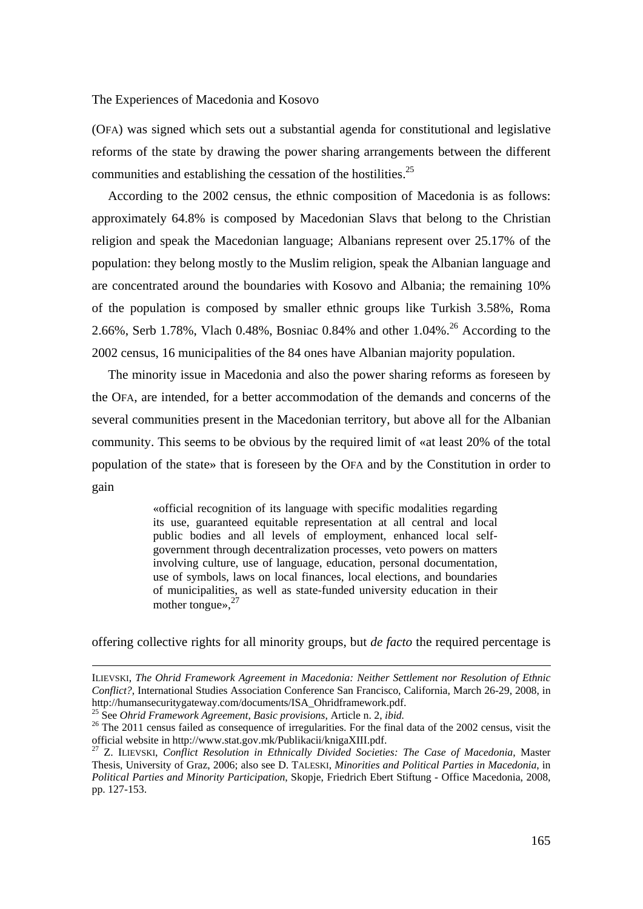(OFA) was signed which sets out a substantial agenda for constitutional and legislative reforms of the state by drawing the power sharing arrangements between the different communities and establishing the cessation of the hostilities.<sup>25</sup>

 According to the 2002 census, the ethnic composition of Macedonia is as follows: approximately 64.8% is composed by Macedonian Slavs that belong to the Christian religion and speak the Macedonian language; Albanians represent over 25.17% of the population: they belong mostly to the Muslim religion, speak the Albanian language and are concentrated around the boundaries with Kosovo and Albania; the remaining 10% of the population is composed by smaller ethnic groups like Turkish 3.58%, Roma 2.66%, Serb 1.78%, Vlach 0.48%, Bosniac 0.84% and other  $1.04\%$ <sup>26</sup> According to the 2002 census, 16 municipalities of the 84 ones have Albanian majority population.

 The minority issue in Macedonia and also the power sharing reforms as foreseen by the OFA, are intended, for a better accommodation of the demands and concerns of the several communities present in the Macedonian territory, but above all for the Albanian community. This seems to be obvious by the required limit of «at least 20% of the total population of the state» that is foreseen by the OFA and by the Constitution in order to gain

> «official recognition of its language with specific modalities regarding its use, guaranteed equitable representation at all central and local public bodies and all levels of employment, enhanced local selfgovernment through decentralization processes, veto powers on matters involving culture, use of language, education, personal documentation, use of symbols, laws on local finances, local elections, and boundaries of municipalities, as well as state-funded university education in their mother tongues, <sup>27</sup>

offering collective rights for all minority groups, but *de facto* the required percentage is

ILIEVSKI, *The Ohrid Framework Agreement in Macedonia: Neither Settlement nor Resolution of Ethnic Conflict?*, International Studies Association Conference San Francisco, California, March 26-29, 2008, in http://humansecuritygateway.com/documents/ISA\_Ohridframework.pdf.<br><sup>25</sup> See *Ohrid Framework Agreement, Basic provisions*, Article n. 2, *ibid.*<br><sup>26</sup> The 2011 census failed as consequence of irregularities. For the final da

official website in http://www.stat.gov.mk/Publikacii/knigaXIII.pdf.

<sup>27</sup> Z. ILIEVSKI, *Conflict Resolution in Ethnically Divided Societies: The Case of Macedonia*, Master Thesis, University of Graz, 2006; also see D. TALESKI, *Minorities and Political Parties in Macedonia*, in *Political Parties and Minority Participation*, Skopje, Friedrich Ebert Stiftung - Office Macedonia, 2008, pp. 127-153.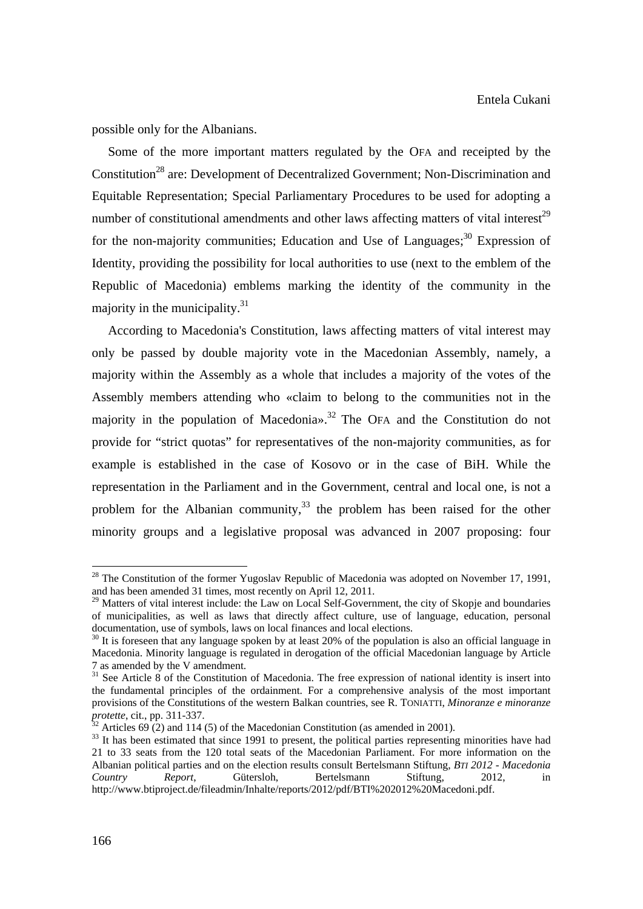possible only for the Albanians.

 Some of the more important matters regulated by the OFA and receipted by the Constitution<sup>28</sup> are: Development of Decentralized Government; Non-Discrimination and Equitable Representation; Special Parliamentary Procedures to be used for adopting a number of constitutional amendments and other laws affecting matters of vital interest<sup>29</sup> for the non-majority communities; Education and Use of Languages; $30$  Expression of Identity, providing the possibility for local authorities to use (next to the emblem of the Republic of Macedonia) emblems marking the identity of the community in the majority in the municipality. $31$ 

 According to Macedonia's Constitution, laws affecting matters of vital interest may only be passed by double majority vote in the Macedonian Assembly, namely, a majority within the Assembly as a whole that includes a majority of the votes of the Assembly members attending who «claim to belong to the communities not in the majority in the population of Macedonia».<sup>32</sup> The OFA and the Constitution do not provide for "strict quotas" for representatives of the non-majority communities, as for example is established in the case of Kosovo or in the case of BiH. While the representation in the Parliament and in the Government, central and local one, is not a problem for the Albanian community,<sup>33</sup> the problem has been raised for the other minority groups and a legislative proposal was advanced in 2007 proposing: four

<sup>&</sup>lt;sup>28</sup> The Constitution of the former Yugoslav Republic of Macedonia was adopted on November 17, 1991, and has been amended 31 times, most recently on April 12, 2011.

<sup>&</sup>lt;sup>29</sup> Matters of vital interest include: the Law on Local Self-Government, the city of Skopje and boundaries of municipalities, as well as laws that directly affect culture, use of language, education, personal documentation, use of symbols, laws on local finances and local elections.

<sup>&</sup>lt;sup>30</sup> It is foreseen that any language spoken by at least 20% of the population is also an official language in Macedonia. Minority language is regulated in derogation of the official Macedonian language by Article 7 as amended by the V amendment.

<sup>&</sup>lt;sup>31</sup> See Article 8 of the Constitution of Macedonia. The free expression of national identity is insert into the fundamental principles of the ordainment. For a comprehensive analysis of the most important provisions of the Constitutions of the western Balkan countries, see R. TONIATTI, *Minoranze e minoranze protette*, cit., pp. 311-337.<br><sup>32</sup> Articles 69 (2) and 114 (5) of the Macedonian Constitution (as amended in 2001).

<sup>&</sup>lt;sup>33</sup> It has been estimated that since 1991 to present, the political parties representing minorities have had 21 to 33 seats from the 120 total seats of the Macedonian Parliament. For more information on the Albanian political parties and on the election results consult Bertelsmann Stiftung, *BTI 2012 - Macedonia Country Report*, Gütersloh, Bertelsmann Stiftung, 2012, in http://www.btiproject.de/fileadmin/Inhalte/reports/2012/pdf/BTI%202012%20Macedoni.pdf.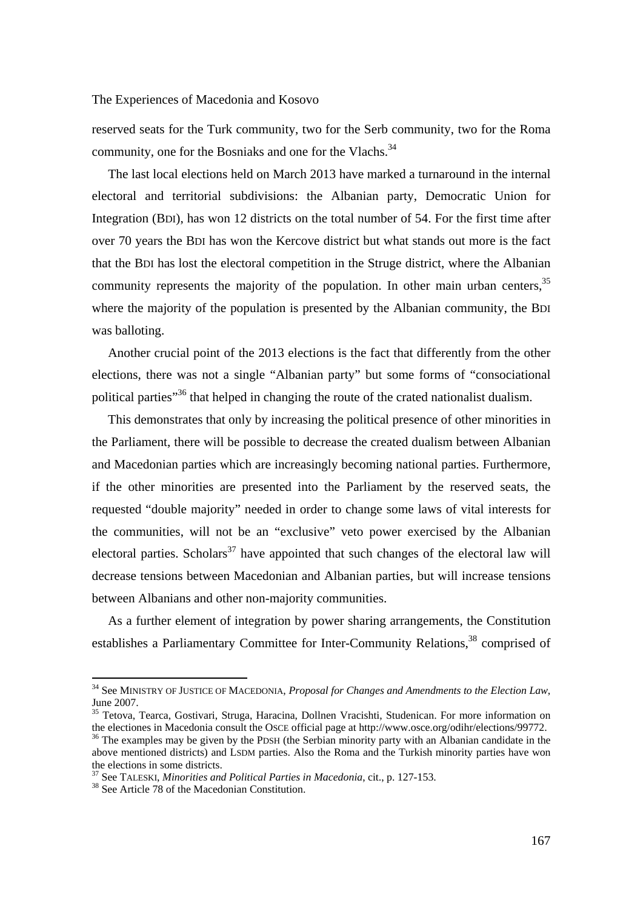reserved seats for the Turk community, two for the Serb community, two for the Roma community, one for the Bosniaks and one for the Vlachs.<sup>34</sup>

 The last local elections held on March 2013 have marked a turnaround in the internal electoral and territorial subdivisions: the Albanian party, Democratic Union for Integration (BDI), has won 12 districts on the total number of 54. For the first time after over 70 years the BDI has won the Kercove district but what stands out more is the fact that the BDI has lost the electoral competition in the Struge district, where the Albanian community represents the majority of the population. In other main urban centers,  $35$ where the majority of the population is presented by the Albanian community, the BDI was balloting.

 Another crucial point of the 2013 elections is the fact that differently from the other elections, there was not a single "Albanian party" but some forms of "consociational political parties<sup>36</sup> that helped in changing the route of the crated nationalist dualism.

 This demonstrates that only by increasing the political presence of other minorities in the Parliament, there will be possible to decrease the created dualism between Albanian and Macedonian parties which are increasingly becoming national parties. Furthermore, if the other minorities are presented into the Parliament by the reserved seats, the requested "double majority" needed in order to change some laws of vital interests for the communities, will not be an "exclusive" veto power exercised by the Albanian electoral parties. Scholars<sup>37</sup> have appointed that such changes of the electoral law will decrease tensions between Macedonian and Albanian parties, but will increase tensions between Albanians and other non-majority communities.

 As a further element of integration by power sharing arrangements, the Constitution establishes a Parliamentary Committee for Inter-Community Relations,<sup>38</sup> comprised of

<sup>34</sup> See MINISTRY OF JUSTICE OF MACEDONIA, *Proposal for Changes and Amendments to the Election Law*, June 2007.

 $35$  Tetova, Tearca, Gostivari, Struga, Haracina, Dollnen Vracishti, Studenican. For more information on the electiones in Macedonia consult the OSCE official page at http://www.osce.org/odihr/elections/99772.

 $36$  The examples may be given by the PDSH (the Serbian minority party with an Albanian candidate in the above mentioned districts) and LSDM parties. Also the Roma and the Turkish minority parties have won the elections in some districts.

<sup>&</sup>lt;sup>37</sup> See TALESKI, *Minorities and Political Parties in Macedonia*, cit., p. 127-153.<br><sup>38</sup> See Article 78 of the Macedonian Constitution.